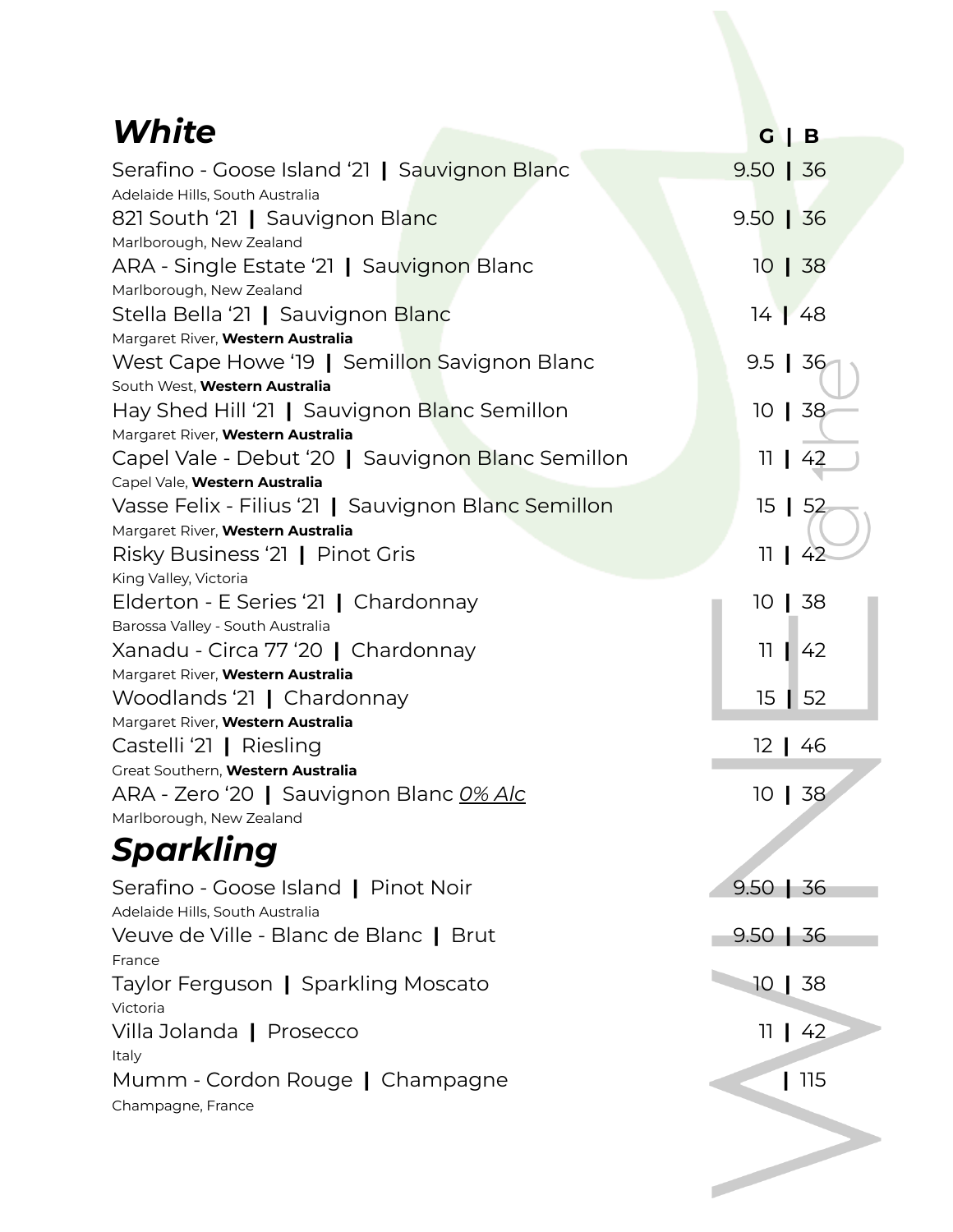| White                                                                                                                     | G<br>B                |
|---------------------------------------------------------------------------------------------------------------------------|-----------------------|
| Serafino - Goose Island '21   Sauvignon Blanc<br>Adelaide Hills, South Australia                                          | $9.50$   36           |
| 821 South '21   Sauvignon Blanc<br>Marlborough, New Zealand                                                               | $9.50$   36           |
| ARA - Single Estate '21   Sauvignon Blanc<br>Marlborough, New Zealand                                                     | $10 \mid 38$          |
| Stella Bella '21   Sauvignon Blanc<br>Margaret River, Western Australia                                                   | $14 \mid 48$          |
| West Cape Howe '19   Semillon Savignon Blanc<br>South West, Western Australia                                             | $9.5$   36            |
| Hay Shed Hill '21   Sauvignon Blanc Semillon<br>Margaret River, Western Australia                                         | $10 \mid 38$          |
| Capel Vale - Debut '20   Sauvignon Blanc Semillon                                                                         | 42<br>11 <sub>1</sub> |
| Capel Vale, Western Australia<br>Vasse Felix - Filius '21   Sauvignon Blanc Semillon<br>Margaret River, Western Australia | 15   52               |
| Risky Business '21   Pinot Gris<br>King Valley, Victoria                                                                  | 11<br>42              |
| Elderton - E Series '21   Chardonnay                                                                                      | 10   38               |
| Barossa Valley - South Australia<br>Xanadu - Circa 77 '20   Chardonnay<br>Margaret River, Western Australia               | $\overline{11}$<br>42 |
| Woodlands '21   Chardonnay<br>Margaret River, Western Australia                                                           | $15 \mid 52$          |
| Castelli '21   Riesling                                                                                                   | 12   46               |
| Great Southern, Western Australia<br>ARA - Zero '20   Sauvignon Blanc O% Alc<br>Marlborough, New Zealand                  | $10 \mid 38$          |
| Sparkling                                                                                                                 |                       |
| Serafino - Goose Island   Pinot Noir<br>Adelaide Hills, South Australia                                                   | $9.50$   36           |
| Veuve de Ville - Blanc de Blanc   Brut<br>France                                                                          | $9.50$   36           |
| Taylor Ferguson   Sparkling Moscato<br>Victoria                                                                           | 10   38               |
| Villa Jolanda   Prosecco<br>Italy                                                                                         | 11 L<br>42            |
| Mumm - Cordon Rouge   Champagne<br>Champagne, France                                                                      | 115                   |
|                                                                                                                           |                       |
|                                                                                                                           |                       |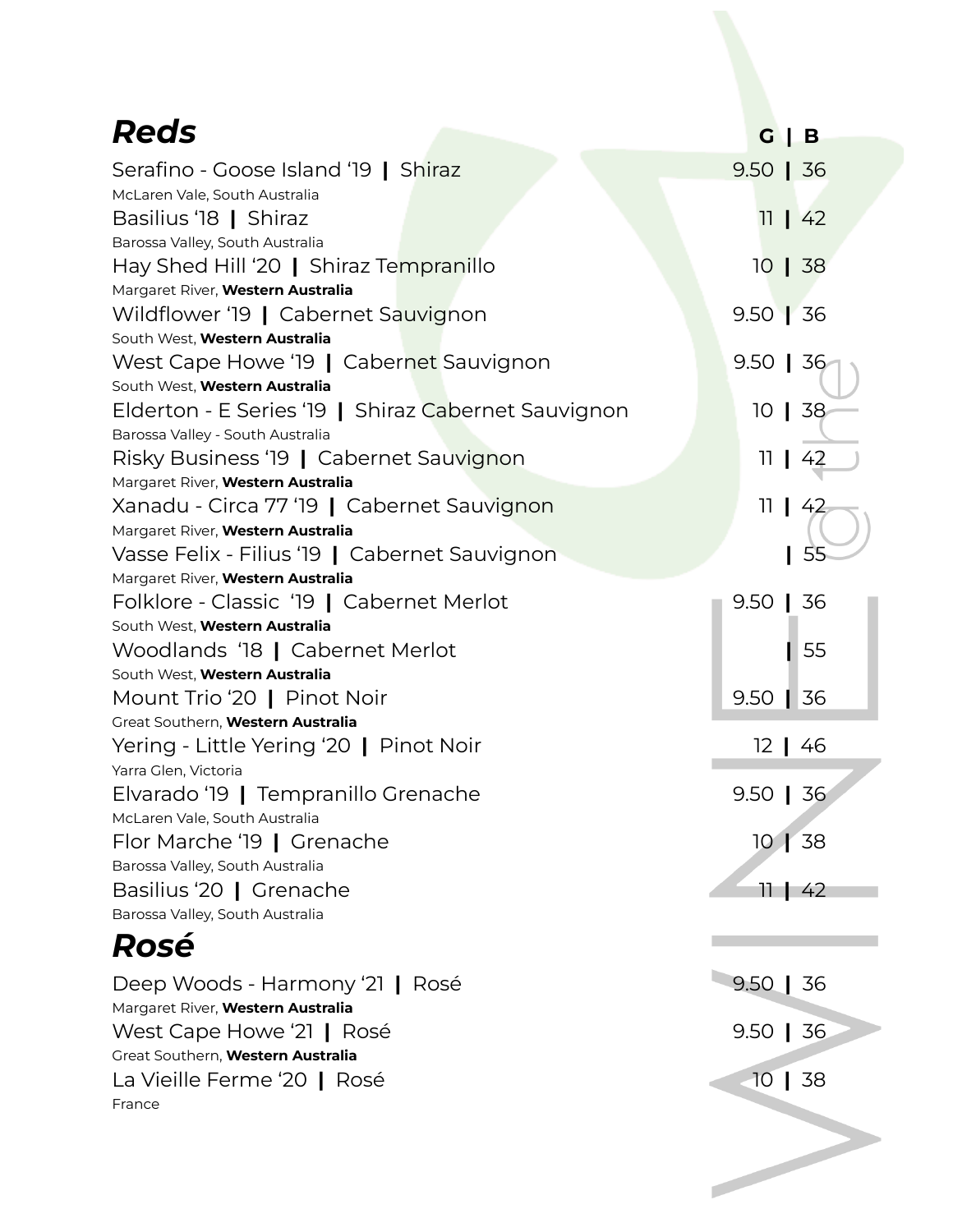| <b>Reds</b>                                                                 |                       |
|-----------------------------------------------------------------------------|-----------------------|
|                                                                             | $G \mid B$            |
| Serafino - Goose Island '19   Shiraz                                        | $9.50$   36           |
| McLaren Vale, South Australia                                               |                       |
| Basilius '18   Shiraz                                                       | $11 \mid 42$          |
| Barossa Valley, South Australia                                             |                       |
| Hay Shed Hill '20   Shiraz Tempranillo<br>Margaret River, Western Australia | $10 \mid 38$          |
| Wildflower '19   Cabernet Sauvignon                                         | $9.50$ 36             |
| South West, Western Australia                                               |                       |
| West Cape Howe '19   Cabernet Sauvignon                                     | $9.50$   36           |
| South West, Western Australia                                               |                       |
| Elderton - E Series '19   Shiraz Cabernet Sauvignon                         | $10 \mid 38$          |
| Barossa Valley - South Australia                                            |                       |
| Risky Business '19   Cabernet Sauvignon                                     | 11 <sub>1</sub><br>42 |
| Margaret River, Western Australia                                           |                       |
| Xanadu - Circa 77 '19   Cabernet Sauvignon                                  | 11 <sub>1</sub><br>42 |
| Margaret River, Western Australia                                           |                       |
| Vasse Felix - Filius '19   Cabernet Sauvignon                               | 55                    |
| Margaret River, Western Australia                                           |                       |
| Folklore - Classic '19   Cabernet Merlot                                    | $9.50$   36           |
| South West, Western Australia                                               | 55                    |
| Woodlands '18   Cabernet Merlot<br>South West, Western Australia            |                       |
| Mount Trio '20   Pinot Noir                                                 | $9.50$   36           |
| Great Southern, Western Australia                                           |                       |
| Yering - Little Yering '20   Pinot Noir                                     | $12 \mid 46$          |
| Yarra Glen, Victoria                                                        |                       |
| Elvarado '19   Tempranillo Grenache                                         | $9.50$   36           |
| McLaren Vale, South Australia                                               |                       |
| Flor Marche '19   Grenache                                                  | $101$ 38              |
| Barossa Valley, South Australia                                             |                       |
| Basilius '20   Grenache                                                     | $11 \mid 42$          |
| Barossa Valley, South Australia                                             |                       |
| Rosé                                                                        |                       |
| Deep Woods - Harmony '21   Rosé                                             | $9.50$   36           |
| Margaret River, Western Australia                                           |                       |
| West Cape Howe '21   Rosé<br>Great Southern, Western Australia              | $9.50$   36           |
| La Vieille Ferme '20   Rosé                                                 | $10$   38             |
| France                                                                      |                       |
|                                                                             |                       |
|                                                                             |                       |
|                                                                             |                       |